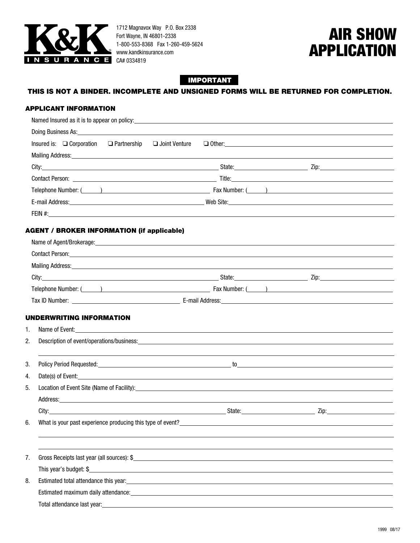

1712 Magnavox Way P.O. Box 2338 Fort Wayne, IN 46801-2338 1-800-553-8368 Fax 1-260-459-5624 www.kandkinsurance.com

# AIR SHOW APPLICATION

## IMPORTANT

## THIS IS NOT A BINDER. INCOMPLETE AND UNSIGNED FORMS WILL BE RETURNED FOR COMPLETION.

### APPLICANT INFORMATION

| Named Insured as it is to appear on policy:                | and the control of the control of the control of the control of the control of the control of the control of the                                                                                                                                                                                      |                      |
|------------------------------------------------------------|-------------------------------------------------------------------------------------------------------------------------------------------------------------------------------------------------------------------------------------------------------------------------------------------------------|----------------------|
|                                                            |                                                                                                                                                                                                                                                                                                       |                      |
| Insured is: □ Corporation □ Partnership □ Joint Venture    |                                                                                                                                                                                                                                                                                                       | $\Box$ Other: $\Box$ |
|                                                            | Mailing Address: <u>Andreas Address and Address and Addan and Addan and Address and Address and Address and Address and Address and Address and Address and Address and Address and Address and Address and Address and Address </u>                                                                  |                      |
|                                                            |                                                                                                                                                                                                                                                                                                       |                      |
|                                                            |                                                                                                                                                                                                                                                                                                       |                      |
|                                                            |                                                                                                                                                                                                                                                                                                       |                      |
|                                                            |                                                                                                                                                                                                                                                                                                       |                      |
|                                                            | FEIN #: $\frac{1}{2}$ = $\frac{1}{2}$ = $\frac{1}{2}$ = $\frac{1}{2}$ = $\frac{1}{2}$ = $\frac{1}{2}$ = $\frac{1}{2}$ = $\frac{1}{2}$ = $\frac{1}{2}$ = $\frac{1}{2}$ = $\frac{1}{2}$ = $\frac{1}{2}$ = $\frac{1}{2}$ = $\frac{1}{2}$ = $\frac{1}{2}$ = $\frac{1}{2}$ = $\frac{1}{2}$ = $\frac{1}{2}$ |                      |
| <b>AGENT / BROKER INFORMATION (if applicable)</b>          |                                                                                                                                                                                                                                                                                                       |                      |
|                                                            | Name of Agent/Brokerage: 1999 Contract Contract Contract Contract Contract Contract Contract Contract Contract Contract Contract Contract Contract Contract Contract Contract Contract Contract Contract Contract Contract Con                                                                        |                      |
|                                                            | Contact Person: <u>Contact Person and Contact Contact Contact Contact Contact Person:</u>                                                                                                                                                                                                             |                      |
|                                                            | Mailing Address: <u>Communications</u> Control and Control and Control and Control and Control and Control and Control and Control and Control and Control and Control and Control and Control and Control and Control and Control                                                                    |                      |
|                                                            |                                                                                                                                                                                                                                                                                                       |                      |
|                                                            |                                                                                                                                                                                                                                                                                                       |                      |
|                                                            |                                                                                                                                                                                                                                                                                                       |                      |
|                                                            |                                                                                                                                                                                                                                                                                                       |                      |
| UNDERWRITING INFORMATION<br>1.                             |                                                                                                                                                                                                                                                                                                       |                      |
| 2.                                                         |                                                                                                                                                                                                                                                                                                       |                      |
|                                                            |                                                                                                                                                                                                                                                                                                       |                      |
| 3.                                                         |                                                                                                                                                                                                                                                                                                       |                      |
| 4.                                                         | Date(s) of Event:                                                                                                                                                                                                                                                                                     |                      |
| 5.                                                         |                                                                                                                                                                                                                                                                                                       |                      |
|                                                            |                                                                                                                                                                                                                                                                                                       |                      |
|                                                            | City: State: State: State: State: State: State: State: State: State: State: State: State: State: State: State: State: State: State: State: State: State: State: State: State: State: State: State: State: State: State: State:                                                                        |                      |
| What is your past experience producing this type of event? |                                                                                                                                                                                                                                                                                                       |                      |
|                                                            |                                                                                                                                                                                                                                                                                                       |                      |
|                                                            |                                                                                                                                                                                                                                                                                                       |                      |
| 7.                                                         |                                                                                                                                                                                                                                                                                                       |                      |
| This year's budget: \$                                     | <u> 1989 - Johann Barn, mars ann an t-Amhain Aonaichte ann an t-Aonaichte ann an t-Aonaichte ann an t-Aonaichte a</u>                                                                                                                                                                                 |                      |
| 8.                                                         | Estimated total attendance this year: example and a state of the state of the state of the state of the state of the state of the state of the state of the state of the state of the state of the state of the state of the s                                                                        |                      |
|                                                            | Estimated maximum daily attendance: University of the control of the control of the control of the control of the control of the control of the control of the control of the control of the control of the control of the con                                                                        |                      |
|                                                            | Total attendance last year:<br>Total attendance last year:                                                                                                                                                                                                                                            |                      |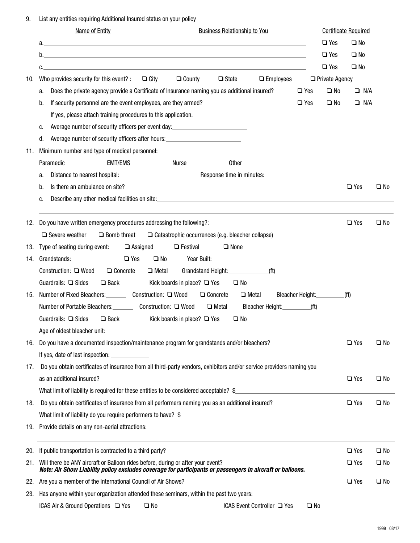9. List any entities requiring Additional Insured status on your policy

| $\Box$ Yes<br>$\square$ No<br>$\Box$ Yes<br>$\square$ No<br>$\square$ Yes<br>$\Box$ No<br>c.<br>$\Box$ State<br><b>Q</b> Private Agency<br>Who provides security for this event? : $\Box$ City<br>$\Box$ County<br>$\Box$ Employees<br>10.<br>Does the private agency provide a Certificate of Insurance naming you as additional insured?<br>$\square$ No<br>$\Box$ N/A<br>$\Box$ Yes<br>а.<br>If security personnel are the event employees, are they armed?<br>$\Box$ Yes<br>$\square$ No<br>$\Box$ N/A<br>b.<br>If yes, please attach training procedures to this application.<br>Average number of security officers per event day:<br><u>Nerage number of security officers</u> per event day:<br>c.<br>Average number of security officers after hours: _______________________________<br>d.<br>Minimum number and type of medical personnel:<br>11.<br>a.<br>Is there an ambulance on site?<br>$\Box$ Yes<br>$\square$ No<br>b.<br>Describe any other medical facilities on site: example and a series of the series of the series of the series of the series of the series of the series of the series of the series of the series of the series of the series<br>c.<br>Do you have written emergency procedures addressing the following?:<br>$\Box$ Yes<br>$\Box$ No<br>12.<br>$\Box$ Severe weather<br>$\Box$ Bomb threat $\Box$ Catastrophic occurrences (e.g. bleacher collapse)<br>Type of seating during event:<br>$\Box$ None<br>$\Box$ Assigned<br>$\Box$ Festival<br>13.<br>14. Grandstands: 14. Communications and the control of the control of the control of the control of the control of the control of the control of the control of the control of the control of the control of the control of th<br>$\Box$ Yes $\Box$ No Year Built:<br>□ Concrete<br>Grandstand Height:______________<br>(f <sup>t</sup> )<br>Construction: □ Wood<br>$\Box$ Metal<br>Guardrails: □ Sides<br>□ Back<br>Kick boards in place? $\Box$ Yes $\Box$ No<br>15. Number of Fixed Bleachers: Construction: □ Wood □ Concrete<br>Bleacher Height:__________<br>$\Box$ Metal<br>( <b>ft</b> )<br>$\Box$ Metal<br>Number of Portable Bleachers: Construction: □ Wood<br>Bleacher Height:____________(ft)<br>Guardrails: $\Box$ Sides<br>Kick boards in place? $\Box$ Yes<br>$\Box$ Back<br>$\square$ No<br>Age of oldest bleacher unit:<br>16. Do you have a documented inspection/maintenance program for grandstands and/or bleachers?<br>$\Box$ Yes<br>$\square$ No<br>If yes, date of last inspection:<br>Do you obtain certificates of insurance from all third-party vendors, exhibitors and/or service providers naming you<br>17.<br>as an additional insured?<br>$\Box$ Yes<br>$\square$ No<br>What limit of liability is required for these entities to be considered acceptable? $\frac{1}{2}$<br>Do you obtain certificates of insurance from all performers naming you as an additional insured?<br>$\Box$ Yes<br>$\square$ No<br>18.<br>If public transportation is contracted to a third party?<br>$\Box$ Yes<br>$\square$ No<br>20.<br>Will there be ANY aircraft or Balloon rides before, during or after your event?<br>$\Box$ Yes<br>$\square$ No<br>21.<br>Note: Air Show Liability policy excludes coverage for participants or passengers in aircraft or balloons.<br>Are you a member of the International Council of Air Shows?<br>$\Box$ Yes<br>$\square$ No<br>22.<br>Has anyone within your organization attended these seminars, within the past two years:<br>23.<br>ICAS Air & Ground Operations $\Box$ Yes<br>ICAS Event Controller □ Yes<br>$\square$ No<br>$\square$ No | <b>Name of Entity</b><br><b>Business Relationship to You</b> | <b>Certificate Required</b> |  |
|--------------------------------------------------------------------------------------------------------------------------------------------------------------------------------------------------------------------------------------------------------------------------------------------------------------------------------------------------------------------------------------------------------------------------------------------------------------------------------------------------------------------------------------------------------------------------------------------------------------------------------------------------------------------------------------------------------------------------------------------------------------------------------------------------------------------------------------------------------------------------------------------------------------------------------------------------------------------------------------------------------------------------------------------------------------------------------------------------------------------------------------------------------------------------------------------------------------------------------------------------------------------------------------------------------------------------------------------------------------------------------------------------------------------------------------------------------------------------------------------------------------------------------------------------------------------------------------------------------------------------------------------------------------------------------------------------------------------------------------------------------------------------------------------------------------------------------------------------------------------------------------------------------------------------------------------------------------------------------------------------------------------------------------------------------------------------------------------------------------------------------------------------------------------------------------------------------------------------------------------------------------------------------------------------------------------------------------------------------------------------------------------------------------------------------------------------------------------------------------------------------------------------------------------------------------------------------------------------------------------------------------------------------------------------------------------------------------------------------------------------------------------------------------------------------------------------------------------------------------------------------------------------------------------------------------------------------------------------------------------------------------------------------------------------------------------------------------------------------------------------------------------------------------------------------------------------------------------------------------------------------------------------------------------------------------------------------------------------------------------------------------------------------------------------------------------------------------------------------------------------------------------------------------------------------------------------------------------------------------|--------------------------------------------------------------|-----------------------------|--|
|                                                                                                                                                                                                                                                                                                                                                                                                                                                                                                                                                                                                                                                                                                                                                                                                                                                                                                                                                                                                                                                                                                                                                                                                                                                                                                                                                                                                                                                                                                                                                                                                                                                                                                                                                                                                                                                                                                                                                                                                                                                                                                                                                                                                                                                                                                                                                                                                                                                                                                                                                                                                                                                                                                                                                                                                                                                                                                                                                                                                                                                                                                                                                                                                                                                                                                                                                                                                                                                                                                                                                                                                              |                                                              |                             |  |
|                                                                                                                                                                                                                                                                                                                                                                                                                                                                                                                                                                                                                                                                                                                                                                                                                                                                                                                                                                                                                                                                                                                                                                                                                                                                                                                                                                                                                                                                                                                                                                                                                                                                                                                                                                                                                                                                                                                                                                                                                                                                                                                                                                                                                                                                                                                                                                                                                                                                                                                                                                                                                                                                                                                                                                                                                                                                                                                                                                                                                                                                                                                                                                                                                                                                                                                                                                                                                                                                                                                                                                                                              |                                                              |                             |  |
|                                                                                                                                                                                                                                                                                                                                                                                                                                                                                                                                                                                                                                                                                                                                                                                                                                                                                                                                                                                                                                                                                                                                                                                                                                                                                                                                                                                                                                                                                                                                                                                                                                                                                                                                                                                                                                                                                                                                                                                                                                                                                                                                                                                                                                                                                                                                                                                                                                                                                                                                                                                                                                                                                                                                                                                                                                                                                                                                                                                                                                                                                                                                                                                                                                                                                                                                                                                                                                                                                                                                                                                                              |                                                              |                             |  |
|                                                                                                                                                                                                                                                                                                                                                                                                                                                                                                                                                                                                                                                                                                                                                                                                                                                                                                                                                                                                                                                                                                                                                                                                                                                                                                                                                                                                                                                                                                                                                                                                                                                                                                                                                                                                                                                                                                                                                                                                                                                                                                                                                                                                                                                                                                                                                                                                                                                                                                                                                                                                                                                                                                                                                                                                                                                                                                                                                                                                                                                                                                                                                                                                                                                                                                                                                                                                                                                                                                                                                                                                              |                                                              |                             |  |
|                                                                                                                                                                                                                                                                                                                                                                                                                                                                                                                                                                                                                                                                                                                                                                                                                                                                                                                                                                                                                                                                                                                                                                                                                                                                                                                                                                                                                                                                                                                                                                                                                                                                                                                                                                                                                                                                                                                                                                                                                                                                                                                                                                                                                                                                                                                                                                                                                                                                                                                                                                                                                                                                                                                                                                                                                                                                                                                                                                                                                                                                                                                                                                                                                                                                                                                                                                                                                                                                                                                                                                                                              |                                                              |                             |  |
|                                                                                                                                                                                                                                                                                                                                                                                                                                                                                                                                                                                                                                                                                                                                                                                                                                                                                                                                                                                                                                                                                                                                                                                                                                                                                                                                                                                                                                                                                                                                                                                                                                                                                                                                                                                                                                                                                                                                                                                                                                                                                                                                                                                                                                                                                                                                                                                                                                                                                                                                                                                                                                                                                                                                                                                                                                                                                                                                                                                                                                                                                                                                                                                                                                                                                                                                                                                                                                                                                                                                                                                                              |                                                              |                             |  |
|                                                                                                                                                                                                                                                                                                                                                                                                                                                                                                                                                                                                                                                                                                                                                                                                                                                                                                                                                                                                                                                                                                                                                                                                                                                                                                                                                                                                                                                                                                                                                                                                                                                                                                                                                                                                                                                                                                                                                                                                                                                                                                                                                                                                                                                                                                                                                                                                                                                                                                                                                                                                                                                                                                                                                                                                                                                                                                                                                                                                                                                                                                                                                                                                                                                                                                                                                                                                                                                                                                                                                                                                              |                                                              |                             |  |
|                                                                                                                                                                                                                                                                                                                                                                                                                                                                                                                                                                                                                                                                                                                                                                                                                                                                                                                                                                                                                                                                                                                                                                                                                                                                                                                                                                                                                                                                                                                                                                                                                                                                                                                                                                                                                                                                                                                                                                                                                                                                                                                                                                                                                                                                                                                                                                                                                                                                                                                                                                                                                                                                                                                                                                                                                                                                                                                                                                                                                                                                                                                                                                                                                                                                                                                                                                                                                                                                                                                                                                                                              |                                                              |                             |  |
|                                                                                                                                                                                                                                                                                                                                                                                                                                                                                                                                                                                                                                                                                                                                                                                                                                                                                                                                                                                                                                                                                                                                                                                                                                                                                                                                                                                                                                                                                                                                                                                                                                                                                                                                                                                                                                                                                                                                                                                                                                                                                                                                                                                                                                                                                                                                                                                                                                                                                                                                                                                                                                                                                                                                                                                                                                                                                                                                                                                                                                                                                                                                                                                                                                                                                                                                                                                                                                                                                                                                                                                                              |                                                              |                             |  |
|                                                                                                                                                                                                                                                                                                                                                                                                                                                                                                                                                                                                                                                                                                                                                                                                                                                                                                                                                                                                                                                                                                                                                                                                                                                                                                                                                                                                                                                                                                                                                                                                                                                                                                                                                                                                                                                                                                                                                                                                                                                                                                                                                                                                                                                                                                                                                                                                                                                                                                                                                                                                                                                                                                                                                                                                                                                                                                                                                                                                                                                                                                                                                                                                                                                                                                                                                                                                                                                                                                                                                                                                              |                                                              |                             |  |
|                                                                                                                                                                                                                                                                                                                                                                                                                                                                                                                                                                                                                                                                                                                                                                                                                                                                                                                                                                                                                                                                                                                                                                                                                                                                                                                                                                                                                                                                                                                                                                                                                                                                                                                                                                                                                                                                                                                                                                                                                                                                                                                                                                                                                                                                                                                                                                                                                                                                                                                                                                                                                                                                                                                                                                                                                                                                                                                                                                                                                                                                                                                                                                                                                                                                                                                                                                                                                                                                                                                                                                                                              |                                                              |                             |  |
|                                                                                                                                                                                                                                                                                                                                                                                                                                                                                                                                                                                                                                                                                                                                                                                                                                                                                                                                                                                                                                                                                                                                                                                                                                                                                                                                                                                                                                                                                                                                                                                                                                                                                                                                                                                                                                                                                                                                                                                                                                                                                                                                                                                                                                                                                                                                                                                                                                                                                                                                                                                                                                                                                                                                                                                                                                                                                                                                                                                                                                                                                                                                                                                                                                                                                                                                                                                                                                                                                                                                                                                                              |                                                              |                             |  |
|                                                                                                                                                                                                                                                                                                                                                                                                                                                                                                                                                                                                                                                                                                                                                                                                                                                                                                                                                                                                                                                                                                                                                                                                                                                                                                                                                                                                                                                                                                                                                                                                                                                                                                                                                                                                                                                                                                                                                                                                                                                                                                                                                                                                                                                                                                                                                                                                                                                                                                                                                                                                                                                                                                                                                                                                                                                                                                                                                                                                                                                                                                                                                                                                                                                                                                                                                                                                                                                                                                                                                                                                              |                                                              |                             |  |
|                                                                                                                                                                                                                                                                                                                                                                                                                                                                                                                                                                                                                                                                                                                                                                                                                                                                                                                                                                                                                                                                                                                                                                                                                                                                                                                                                                                                                                                                                                                                                                                                                                                                                                                                                                                                                                                                                                                                                                                                                                                                                                                                                                                                                                                                                                                                                                                                                                                                                                                                                                                                                                                                                                                                                                                                                                                                                                                                                                                                                                                                                                                                                                                                                                                                                                                                                                                                                                                                                                                                                                                                              |                                                              |                             |  |
|                                                                                                                                                                                                                                                                                                                                                                                                                                                                                                                                                                                                                                                                                                                                                                                                                                                                                                                                                                                                                                                                                                                                                                                                                                                                                                                                                                                                                                                                                                                                                                                                                                                                                                                                                                                                                                                                                                                                                                                                                                                                                                                                                                                                                                                                                                                                                                                                                                                                                                                                                                                                                                                                                                                                                                                                                                                                                                                                                                                                                                                                                                                                                                                                                                                                                                                                                                                                                                                                                                                                                                                                              |                                                              |                             |  |
|                                                                                                                                                                                                                                                                                                                                                                                                                                                                                                                                                                                                                                                                                                                                                                                                                                                                                                                                                                                                                                                                                                                                                                                                                                                                                                                                                                                                                                                                                                                                                                                                                                                                                                                                                                                                                                                                                                                                                                                                                                                                                                                                                                                                                                                                                                                                                                                                                                                                                                                                                                                                                                                                                                                                                                                                                                                                                                                                                                                                                                                                                                                                                                                                                                                                                                                                                                                                                                                                                                                                                                                                              |                                                              |                             |  |
|                                                                                                                                                                                                                                                                                                                                                                                                                                                                                                                                                                                                                                                                                                                                                                                                                                                                                                                                                                                                                                                                                                                                                                                                                                                                                                                                                                                                                                                                                                                                                                                                                                                                                                                                                                                                                                                                                                                                                                                                                                                                                                                                                                                                                                                                                                                                                                                                                                                                                                                                                                                                                                                                                                                                                                                                                                                                                                                                                                                                                                                                                                                                                                                                                                                                                                                                                                                                                                                                                                                                                                                                              |                                                              |                             |  |
|                                                                                                                                                                                                                                                                                                                                                                                                                                                                                                                                                                                                                                                                                                                                                                                                                                                                                                                                                                                                                                                                                                                                                                                                                                                                                                                                                                                                                                                                                                                                                                                                                                                                                                                                                                                                                                                                                                                                                                                                                                                                                                                                                                                                                                                                                                                                                                                                                                                                                                                                                                                                                                                                                                                                                                                                                                                                                                                                                                                                                                                                                                                                                                                                                                                                                                                                                                                                                                                                                                                                                                                                              |                                                              |                             |  |
|                                                                                                                                                                                                                                                                                                                                                                                                                                                                                                                                                                                                                                                                                                                                                                                                                                                                                                                                                                                                                                                                                                                                                                                                                                                                                                                                                                                                                                                                                                                                                                                                                                                                                                                                                                                                                                                                                                                                                                                                                                                                                                                                                                                                                                                                                                                                                                                                                                                                                                                                                                                                                                                                                                                                                                                                                                                                                                                                                                                                                                                                                                                                                                                                                                                                                                                                                                                                                                                                                                                                                                                                              |                                                              |                             |  |
|                                                                                                                                                                                                                                                                                                                                                                                                                                                                                                                                                                                                                                                                                                                                                                                                                                                                                                                                                                                                                                                                                                                                                                                                                                                                                                                                                                                                                                                                                                                                                                                                                                                                                                                                                                                                                                                                                                                                                                                                                                                                                                                                                                                                                                                                                                                                                                                                                                                                                                                                                                                                                                                                                                                                                                                                                                                                                                                                                                                                                                                                                                                                                                                                                                                                                                                                                                                                                                                                                                                                                                                                              |                                                              |                             |  |
|                                                                                                                                                                                                                                                                                                                                                                                                                                                                                                                                                                                                                                                                                                                                                                                                                                                                                                                                                                                                                                                                                                                                                                                                                                                                                                                                                                                                                                                                                                                                                                                                                                                                                                                                                                                                                                                                                                                                                                                                                                                                                                                                                                                                                                                                                                                                                                                                                                                                                                                                                                                                                                                                                                                                                                                                                                                                                                                                                                                                                                                                                                                                                                                                                                                                                                                                                                                                                                                                                                                                                                                                              |                                                              |                             |  |
|                                                                                                                                                                                                                                                                                                                                                                                                                                                                                                                                                                                                                                                                                                                                                                                                                                                                                                                                                                                                                                                                                                                                                                                                                                                                                                                                                                                                                                                                                                                                                                                                                                                                                                                                                                                                                                                                                                                                                                                                                                                                                                                                                                                                                                                                                                                                                                                                                                                                                                                                                                                                                                                                                                                                                                                                                                                                                                                                                                                                                                                                                                                                                                                                                                                                                                                                                                                                                                                                                                                                                                                                              |                                                              |                             |  |
|                                                                                                                                                                                                                                                                                                                                                                                                                                                                                                                                                                                                                                                                                                                                                                                                                                                                                                                                                                                                                                                                                                                                                                                                                                                                                                                                                                                                                                                                                                                                                                                                                                                                                                                                                                                                                                                                                                                                                                                                                                                                                                                                                                                                                                                                                                                                                                                                                                                                                                                                                                                                                                                                                                                                                                                                                                                                                                                                                                                                                                                                                                                                                                                                                                                                                                                                                                                                                                                                                                                                                                                                              |                                                              |                             |  |
|                                                                                                                                                                                                                                                                                                                                                                                                                                                                                                                                                                                                                                                                                                                                                                                                                                                                                                                                                                                                                                                                                                                                                                                                                                                                                                                                                                                                                                                                                                                                                                                                                                                                                                                                                                                                                                                                                                                                                                                                                                                                                                                                                                                                                                                                                                                                                                                                                                                                                                                                                                                                                                                                                                                                                                                                                                                                                                                                                                                                                                                                                                                                                                                                                                                                                                                                                                                                                                                                                                                                                                                                              |                                                              |                             |  |
|                                                                                                                                                                                                                                                                                                                                                                                                                                                                                                                                                                                                                                                                                                                                                                                                                                                                                                                                                                                                                                                                                                                                                                                                                                                                                                                                                                                                                                                                                                                                                                                                                                                                                                                                                                                                                                                                                                                                                                                                                                                                                                                                                                                                                                                                                                                                                                                                                                                                                                                                                                                                                                                                                                                                                                                                                                                                                                                                                                                                                                                                                                                                                                                                                                                                                                                                                                                                                                                                                                                                                                                                              |                                                              |                             |  |
|                                                                                                                                                                                                                                                                                                                                                                                                                                                                                                                                                                                                                                                                                                                                                                                                                                                                                                                                                                                                                                                                                                                                                                                                                                                                                                                                                                                                                                                                                                                                                                                                                                                                                                                                                                                                                                                                                                                                                                                                                                                                                                                                                                                                                                                                                                                                                                                                                                                                                                                                                                                                                                                                                                                                                                                                                                                                                                                                                                                                                                                                                                                                                                                                                                                                                                                                                                                                                                                                                                                                                                                                              |                                                              |                             |  |
|                                                                                                                                                                                                                                                                                                                                                                                                                                                                                                                                                                                                                                                                                                                                                                                                                                                                                                                                                                                                                                                                                                                                                                                                                                                                                                                                                                                                                                                                                                                                                                                                                                                                                                                                                                                                                                                                                                                                                                                                                                                                                                                                                                                                                                                                                                                                                                                                                                                                                                                                                                                                                                                                                                                                                                                                                                                                                                                                                                                                                                                                                                                                                                                                                                                                                                                                                                                                                                                                                                                                                                                                              |                                                              |                             |  |
|                                                                                                                                                                                                                                                                                                                                                                                                                                                                                                                                                                                                                                                                                                                                                                                                                                                                                                                                                                                                                                                                                                                                                                                                                                                                                                                                                                                                                                                                                                                                                                                                                                                                                                                                                                                                                                                                                                                                                                                                                                                                                                                                                                                                                                                                                                                                                                                                                                                                                                                                                                                                                                                                                                                                                                                                                                                                                                                                                                                                                                                                                                                                                                                                                                                                                                                                                                                                                                                                                                                                                                                                              |                                                              |                             |  |
|                                                                                                                                                                                                                                                                                                                                                                                                                                                                                                                                                                                                                                                                                                                                                                                                                                                                                                                                                                                                                                                                                                                                                                                                                                                                                                                                                                                                                                                                                                                                                                                                                                                                                                                                                                                                                                                                                                                                                                                                                                                                                                                                                                                                                                                                                                                                                                                                                                                                                                                                                                                                                                                                                                                                                                                                                                                                                                                                                                                                                                                                                                                                                                                                                                                                                                                                                                                                                                                                                                                                                                                                              |                                                              |                             |  |
|                                                                                                                                                                                                                                                                                                                                                                                                                                                                                                                                                                                                                                                                                                                                                                                                                                                                                                                                                                                                                                                                                                                                                                                                                                                                                                                                                                                                                                                                                                                                                                                                                                                                                                                                                                                                                                                                                                                                                                                                                                                                                                                                                                                                                                                                                                                                                                                                                                                                                                                                                                                                                                                                                                                                                                                                                                                                                                                                                                                                                                                                                                                                                                                                                                                                                                                                                                                                                                                                                                                                                                                                              |                                                              |                             |  |
|                                                                                                                                                                                                                                                                                                                                                                                                                                                                                                                                                                                                                                                                                                                                                                                                                                                                                                                                                                                                                                                                                                                                                                                                                                                                                                                                                                                                                                                                                                                                                                                                                                                                                                                                                                                                                                                                                                                                                                                                                                                                                                                                                                                                                                                                                                                                                                                                                                                                                                                                                                                                                                                                                                                                                                                                                                                                                                                                                                                                                                                                                                                                                                                                                                                                                                                                                                                                                                                                                                                                                                                                              |                                                              |                             |  |
|                                                                                                                                                                                                                                                                                                                                                                                                                                                                                                                                                                                                                                                                                                                                                                                                                                                                                                                                                                                                                                                                                                                                                                                                                                                                                                                                                                                                                                                                                                                                                                                                                                                                                                                                                                                                                                                                                                                                                                                                                                                                                                                                                                                                                                                                                                                                                                                                                                                                                                                                                                                                                                                                                                                                                                                                                                                                                                                                                                                                                                                                                                                                                                                                                                                                                                                                                                                                                                                                                                                                                                                                              |                                                              |                             |  |
|                                                                                                                                                                                                                                                                                                                                                                                                                                                                                                                                                                                                                                                                                                                                                                                                                                                                                                                                                                                                                                                                                                                                                                                                                                                                                                                                                                                                                                                                                                                                                                                                                                                                                                                                                                                                                                                                                                                                                                                                                                                                                                                                                                                                                                                                                                                                                                                                                                                                                                                                                                                                                                                                                                                                                                                                                                                                                                                                                                                                                                                                                                                                                                                                                                                                                                                                                                                                                                                                                                                                                                                                              |                                                              |                             |  |
|                                                                                                                                                                                                                                                                                                                                                                                                                                                                                                                                                                                                                                                                                                                                                                                                                                                                                                                                                                                                                                                                                                                                                                                                                                                                                                                                                                                                                                                                                                                                                                                                                                                                                                                                                                                                                                                                                                                                                                                                                                                                                                                                                                                                                                                                                                                                                                                                                                                                                                                                                                                                                                                                                                                                                                                                                                                                                                                                                                                                                                                                                                                                                                                                                                                                                                                                                                                                                                                                                                                                                                                                              |                                                              |                             |  |
|                                                                                                                                                                                                                                                                                                                                                                                                                                                                                                                                                                                                                                                                                                                                                                                                                                                                                                                                                                                                                                                                                                                                                                                                                                                                                                                                                                                                                                                                                                                                                                                                                                                                                                                                                                                                                                                                                                                                                                                                                                                                                                                                                                                                                                                                                                                                                                                                                                                                                                                                                                                                                                                                                                                                                                                                                                                                                                                                                                                                                                                                                                                                                                                                                                                                                                                                                                                                                                                                                                                                                                                                              |                                                              |                             |  |
|                                                                                                                                                                                                                                                                                                                                                                                                                                                                                                                                                                                                                                                                                                                                                                                                                                                                                                                                                                                                                                                                                                                                                                                                                                                                                                                                                                                                                                                                                                                                                                                                                                                                                                                                                                                                                                                                                                                                                                                                                                                                                                                                                                                                                                                                                                                                                                                                                                                                                                                                                                                                                                                                                                                                                                                                                                                                                                                                                                                                                                                                                                                                                                                                                                                                                                                                                                                                                                                                                                                                                                                                              |                                                              |                             |  |
|                                                                                                                                                                                                                                                                                                                                                                                                                                                                                                                                                                                                                                                                                                                                                                                                                                                                                                                                                                                                                                                                                                                                                                                                                                                                                                                                                                                                                                                                                                                                                                                                                                                                                                                                                                                                                                                                                                                                                                                                                                                                                                                                                                                                                                                                                                                                                                                                                                                                                                                                                                                                                                                                                                                                                                                                                                                                                                                                                                                                                                                                                                                                                                                                                                                                                                                                                                                                                                                                                                                                                                                                              |                                                              |                             |  |
|                                                                                                                                                                                                                                                                                                                                                                                                                                                                                                                                                                                                                                                                                                                                                                                                                                                                                                                                                                                                                                                                                                                                                                                                                                                                                                                                                                                                                                                                                                                                                                                                                                                                                                                                                                                                                                                                                                                                                                                                                                                                                                                                                                                                                                                                                                                                                                                                                                                                                                                                                                                                                                                                                                                                                                                                                                                                                                                                                                                                                                                                                                                                                                                                                                                                                                                                                                                                                                                                                                                                                                                                              |                                                              |                             |  |